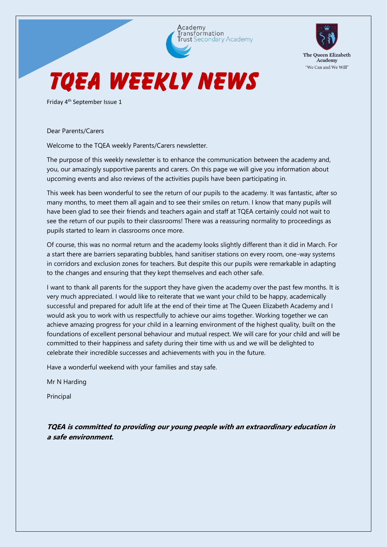

**The Oueen Elizabeth** Academy "We Can and We Will"

Friday 4th September Issue 1

Dear Parents/Carers

Welcome to the TQEA weekly Parents/Carers newsletter.

The purpose of this weekly newsletter is to enhance the communication between the academy and, you, our amazingly supportive parents and carers. On this page we will give you information about upcoming events and also reviews of the activities pupils have been participating in.

This week has been wonderful to see the return of our pupils to the academy. It was fantastic, after so many months, to meet them all again and to see their smiles on return. I know that many pupils will have been glad to see their friends and teachers again and staff at TQEA certainly could not wait to see the return of our pupils to their classrooms! There was a reassuring normality to proceedings as pupils started to learn in classrooms once more.

Of course, this was no normal return and the academy looks slightly different than it did in March. For a start there are barriers separating bubbles, hand sanitiser stations on every room, one-way systems in corridors and exclusion zones for teachers. But despite this our pupils were remarkable in adapting to the changes and ensuring that they kept themselves and each other safe.

I want to thank all parents for the support they have given the academy over the past few months. It is very much appreciated. I would like to reiterate that we want your child to be happy, academically successful and prepared for adult life at the end of their time at The Queen Elizabeth Academy and I would ask you to work with us respectfully to achieve our aims together. Working together we can achieve amazing progress for your child in a learning environment of the highest quality, built on the foundations of excellent personal behaviour and mutual respect. We will care for your child and will be committed to their happiness and safety during their time with us and we will be delighted to celebrate their incredible successes and achievements with you in the future.

Have a wonderful weekend with your families and stay safe.

Mr N Harding

Principal

**TQEA is committed to providing our young people with an extraordinary education in a safe environment.**